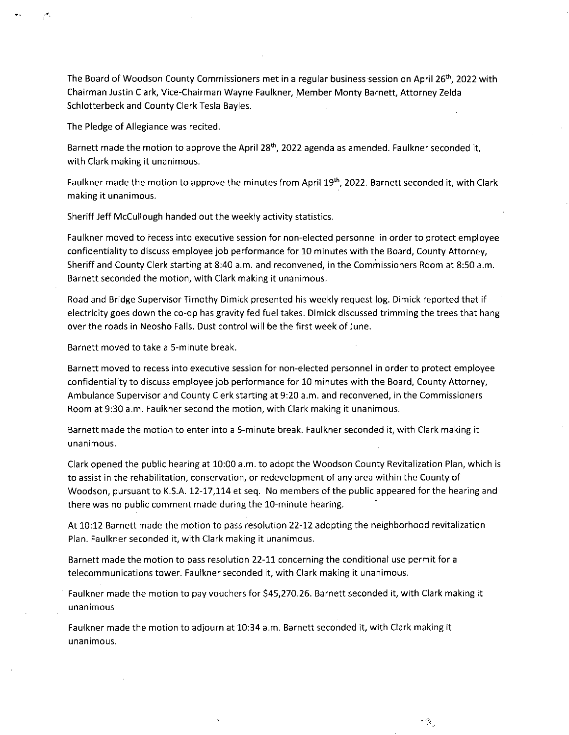The Board of Woodson County Commissioners met in a regular business session on April 26<sup>th</sup>, 2022 with Chairman Justin Clark, Vice-Chairman Wayne Faulkner, Member Monty Barnett, Attorney Zelda Schlotterbeck and County Clerk Tesla Bayles.

The Pledge of Allegiance was recited.

Barnett made the motion to approve the April 28<sup>th</sup>, 2022 agenda as amended. Faulkner seconded it, with Clark making it unanimous.

Faulkner made the motion to approve the minutes from April 19th, 2022. Barnett seconded it, with Clark making it unanimous.

Sheriff Jeff McCullough handed out the weekly activity statistics.

Faulkner moved to recess into executive session for non-elected personnel in order to protect employee ,confidentiality to discuss employee job performance for 10 minutes with the Board, County Attorney, Sheriff and County Clerk starting at 8:40 a.m. and reconvened, in the Commissioners Room at 8:50 a.m. Barnett seconded the motion, with Clark making it unanimous.

Road and Bridge Supervisor Timothy Dimick presented his weekly request log. Dimick reported that if electricity goes down the co-op has gravity fed fuel takes. Dimick discussed trimming the trees that hang over the roads in Neosho Falls. Dust control will be the first week of June.

Barnett moved to take a 5-minute break.

Barnett moved to recess into executive session for non-elected personnel in order to protect employee confidentiality to discuss employee job performance for 10 minutes with the Board, County Attorney, Ambulance Supervisor and County Clerk starting at 9:20 a.m. and reconvened, in the Commissioners Room at 9:30 a.m. Faulkner second the motion, with Clark making it unanimous.

Barnett made the motion to enter into a 5-minute break. Faulkner seconded it, with Clark making it unanimous.

Clark opened the public hearing at 10:00 a.m. to adopt the Woodson County Revitalization Plan, which is to assist in the rehabilitation, conservation, or redevelopment of any area within the County of Woodson, pursuant to K.S.A. 12-17,114 et seq. No members of the public appeared for the hearing and there was no public comment made during the 10-minute hearing.

At 10:12 Barnett made the motion to pass resolution 22-12 adopting the neighborhood revitalization Plan. Faulkner seconded it, with Clark making it unanimous.

Barnett made the motion to pass resolution 22-11 concerning the conditional use permit for a telecommunications tower. Faulkner seconded it, with Clark making it unanimous.

Faulkner made the motion to pay vouchers for \$45,270.26. Barnett seconded it, with Clark making it unanimous

Faulkner made the motion to adjourn at 10:34 a.m. Barnett seconded it, with Clark making it unanimous.

 $\mathcal{O}_{\mathcal{S}_0}$